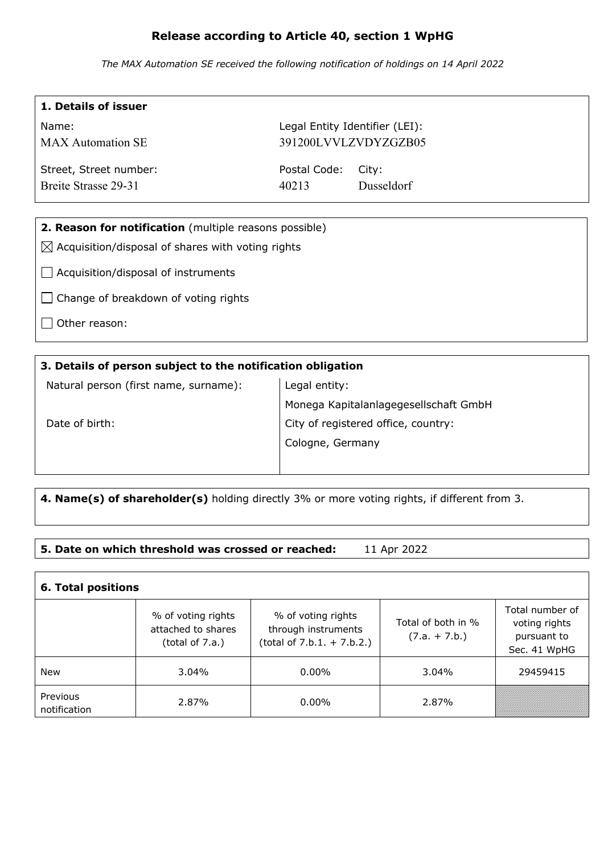# **Release according to Article 40, section 1 WpHG**

*The MAX Automation SE received the following notification of holdings on 14 April 2022*

| 1. Details of issuer                                          |                                |                      |  |  |
|---------------------------------------------------------------|--------------------------------|----------------------|--|--|
| Name:                                                         | Legal Entity Identifier (LEI): |                      |  |  |
| <b>MAX</b> Automation SE                                      |                                | 391200LVVLZVDYZGZB05 |  |  |
| Street, Street number:                                        | Postal Code:                   | City:                |  |  |
| Breite Strasse 29-31                                          | 40213                          | Dusseldorf           |  |  |
|                                                               |                                |                      |  |  |
| 2. Reason for notification (multiple reasons possible)        |                                |                      |  |  |
| $\boxtimes$ Acquisition/disposal of shares with voting rights |                                |                      |  |  |
| Acquisition/disposal of instruments                           |                                |                      |  |  |
| Change of breakdown of voting rights                          |                                |                      |  |  |
| Other reason:                                                 |                                |                      |  |  |
|                                                               |                                |                      |  |  |

### **3. Details of person subject to the notification obligation**

Natural person (first name, surname):

Legal entity: Monega Kapitalanlagegesellschaft GmbH City of registered office, country: Cologne, Germany

Date of birth:

 $\mathbf{I}$ 

**4. Name(s) of shareholder(s)** holding directly 3% or more voting rights, if different from 3.

## **5. Date on which threshold was crossed or reached:** 11 Apr 2022

| <b>6. Total positions</b> |                                                             |                                                                           |                                       |                                                                 |
|---------------------------|-------------------------------------------------------------|---------------------------------------------------------------------------|---------------------------------------|-----------------------------------------------------------------|
|                           | % of voting rights<br>attached to shares<br>(total of 7.a.) | % of voting rights<br>through instruments<br>$(total of 7.b.1. + 7.b.2.)$ | Total of both in %<br>$(7.a. + 7.b.)$ | Total number of<br>voting rights<br>pursuant to<br>Sec. 41 WpHG |
| New                       | $3.04\%$                                                    | $0.00\%$                                                                  | $3.04\%$                              | 29459415                                                        |
| Previous<br>notification  | 2.87%                                                       | $0.00\%$                                                                  | 2.87%                                 |                                                                 |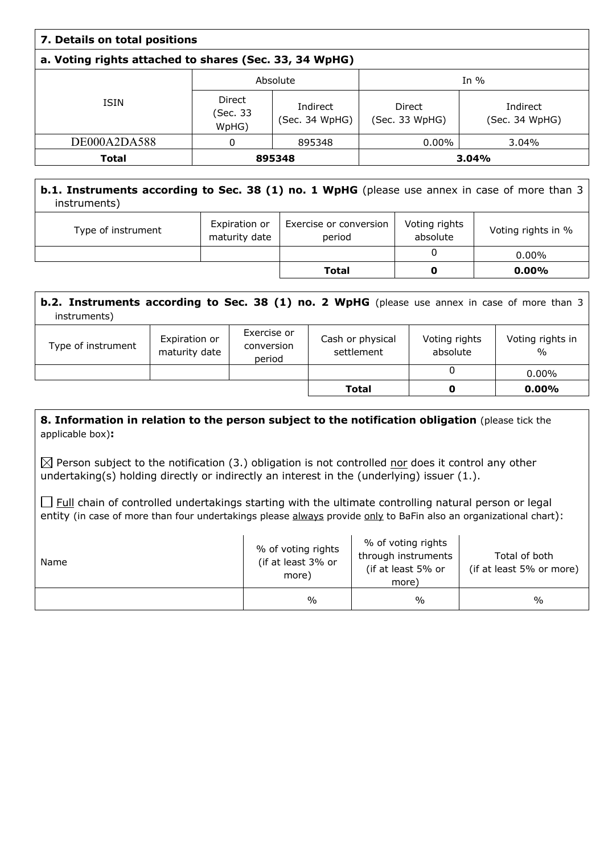| 7. Details on total positions |                                                        |                            |                          |                            |  |  |  |
|-------------------------------|--------------------------------------------------------|----------------------------|--------------------------|----------------------------|--|--|--|
|                               | a. Voting rights attached to shares (Sec. 33, 34 WpHG) |                            |                          |                            |  |  |  |
|                               |                                                        | Absolute                   |                          | In $%$                     |  |  |  |
| <b>ISIN</b>                   | Direct<br>(Sec. 33<br>WpHG)                            | Indirect<br>(Sec. 34 WpHG) | Direct<br>(Sec. 33 WpHG) | Indirect<br>(Sec. 34 WpHG) |  |  |  |
| DE000A2DA588                  | 0                                                      | 895348                     | $0.00\%$                 | 3.04%                      |  |  |  |
| <b>Total</b>                  |                                                        | 895348                     |                          | 3.04%                      |  |  |  |

## **b.1. Instruments according to Sec. 38 (1) no. 1 WpHG** (please use annex in case of more than 3 instruments)

| Type of instrument | Expiration or<br>maturity date | Exercise or conversion<br>period | Voting rights<br>absolute | Voting rights in % |
|--------------------|--------------------------------|----------------------------------|---------------------------|--------------------|
|                    |                                |                                  |                           | $0.00\%$           |
|                    |                                | <b>Total</b>                     |                           | $0.00\%$           |

| <b>b.2. Instruments according to Sec. 38 (1) no. 2 WpHG</b> (please use annex in case of more than 3<br>instruments) |                                |                                     |                                |                           |                                   |
|----------------------------------------------------------------------------------------------------------------------|--------------------------------|-------------------------------------|--------------------------------|---------------------------|-----------------------------------|
| Type of instrument                                                                                                   | Expiration or<br>maturity date | Exercise or<br>conversion<br>period | Cash or physical<br>settlement | Voting rights<br>absolute | Voting rights in<br>$\frac{0}{0}$ |
|                                                                                                                      |                                |                                     |                                | 0                         | $0.00\%$                          |
|                                                                                                                      |                                |                                     | Total                          | O                         | $0.00\%$                          |

### **8. Information in relation to the person subject to the notification obligation (please tick the** applicable box)**:**

 $\boxtimes$  Person subject to the notification (3.) obligation is not controlled nor does it control any other undertaking(s) holding directly or indirectly an interest in the (underlying) issuer (1.).

 $\Box$  Full chain of controlled undertakings starting with the ultimate controlling natural person or legal entity (in case of more than four undertakings please always provide only to BaFin also an organizational chart):

| Name | % of voting rights<br>(if at least 3% or<br>more) | % of voting rights<br>through instruments<br>(if at least 5% or<br>more) | Total of both<br>(if at least 5% or more) |
|------|---------------------------------------------------|--------------------------------------------------------------------------|-------------------------------------------|
|      | $\%$                                              | $\frac{0}{0}$                                                            | $\frac{0}{0}$                             |